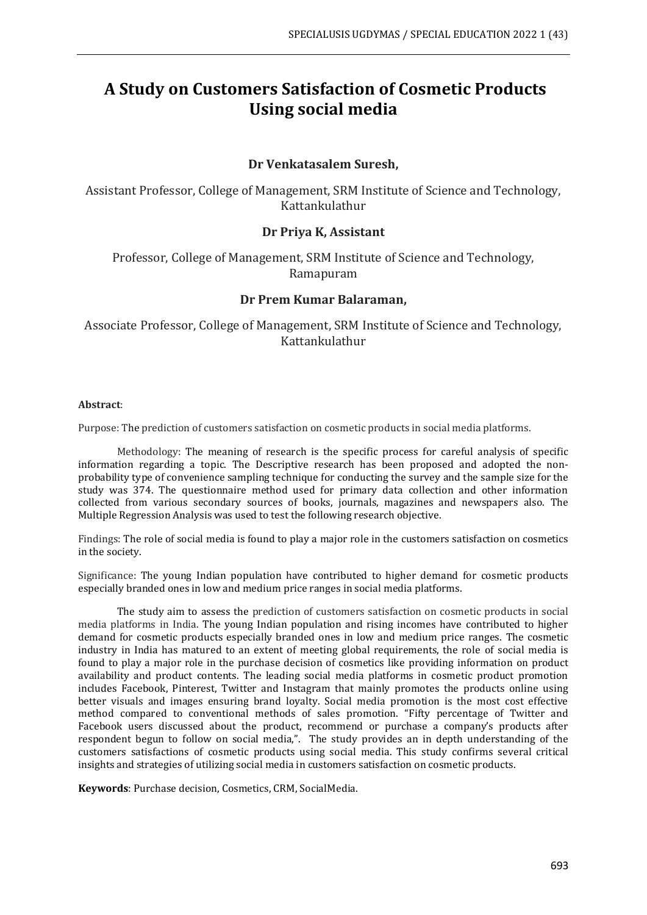# **A Study on Customers Satisfaction of Cosmetic Products Using social media**

## **Dr Venkatasalem Suresh,**

Assistant Professor, College of Management, SRM Institute of Science and Technology, Kattankulathur

## **Dr Priya K, Assistant**

Professor, College of Management, SRM Institute of Science and Technology, Ramapuram

#### **Dr Prem Kumar Balaraman,**

Associate Professor, College of Management, SRM Institute of Science and Technology, Kattankulathur

#### **Abstract**:

Purpose: The prediction of customers satisfaction on cosmetic products in social media platforms.

Methodology: The meaning of research is the specific process for careful analysis of specific information regarding a topic. The Descriptive research has been proposed and adopted the nonprobability type of convenience sampling technique for conducting the survey and the sample size for the study was 374. The questionnaire method used for primary data collection and other information collected from various secondary sources of books, journals, magazines and newspapers also. The Multiple Regression Analysis was used to test the following research objective.

Findings: The role of social media is found to play a major role in the customers satisfaction on cosmetics in the society.

Significance: The young Indian population have contributed to higher demand for cosmetic products especially branded ones in low and medium price ranges in social media platforms.

The study aim to assess the prediction of customers satisfaction on cosmetic products in social media platforms in India. The young Indian population and rising incomes have contributed to higher demand for cosmetic products especially branded ones in low and medium price ranges. The cosmetic industry in India has matured to an extent of meeting global requirements, the role of social media is found to play a major role in the purchase decision of cosmetics like providing information on product availability and product contents. The leading social media platforms in cosmetic product promotion includes Facebook, Pinterest, Twitter and Instagram that mainly promotes the products online using better visuals and images ensuring brand loyalty. Social media promotion is the most cost effective method compared to conventional methods of sales promotion. "Fifty percentage of Twitter and Facebook users discussed about the product, recommend or purchase a company's products after respondent begun to follow on social media,". The study provides an in depth understanding of the customers satisfactions of cosmetic products using social media. This study confirms several critical insights and strategies of utilizing social media in customers satisfaction on cosmetic products.

**Keywords**: Purchase decision, Cosmetics, CRM, SocialMedia.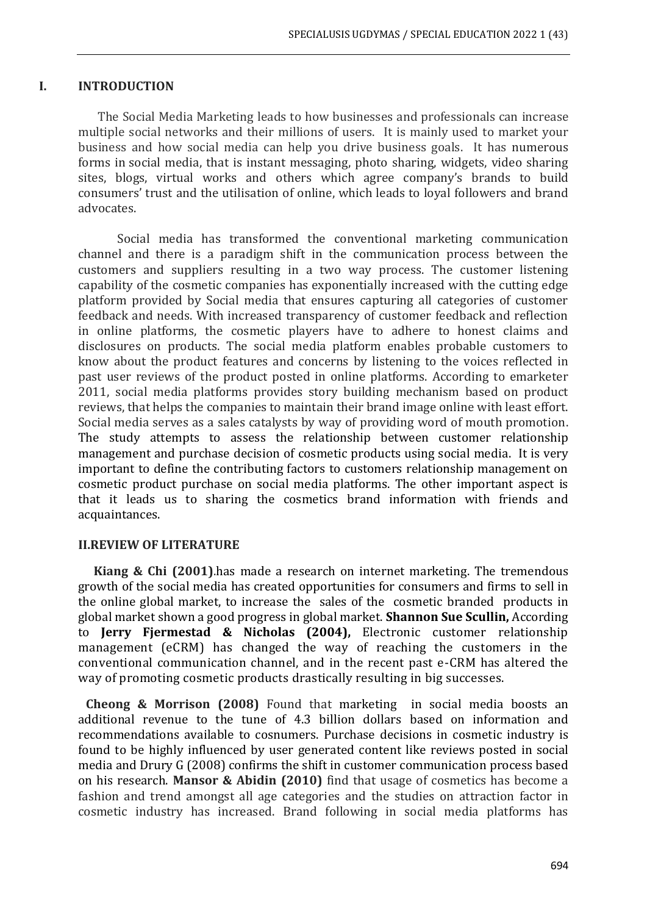#### **I. INTRODUCTION**

The Social Media Marketing leads to how businesses and professionals can increase multiple social networks and their millions of users. It is mainly used to market your business and how social media can help you drive business goals. It has numerous forms in social media, that is instant messaging, photo sharing, widgets, video sharing sites, blogs, virtual works and others which agree company's brands to build consumers' trust and the utilisation of online, which leads to loyal followers and brand advocates.

Social media has transformed the conventional marketing communication channel and there is a paradigm shift in the communication process between the customers and suppliers resulting in a two way process. The customer listening capability of the cosmetic companies has exponentially increased with the cutting edge platform provided by Social media that ensures capturing all categories of customer feedback and needs. With increased transparency of customer feedback and reflection in online platforms, the cosmetic players have to adhere to honest claims and disclosures on products. The social media platform enables probable customers to know about the product features and concerns by listening to the voices reflected in past user reviews of the product posted in online platforms. According to emarketer 2011, social media platforms provides story building mechanism based on product reviews, that helps the companies to maintain their brand image online with least effort. Social media serves as a sales catalysts by way of providing word of mouth promotion. The study attempts to assess the relationship between customer relationship management and purchase decision of cosmetic products using social media. It is very important to define the contributing factors to customers relationship management on cosmetic product purchase on social media platforms. The other important aspect is that it leads us to sharing the cosmetics brand information with friends and acquaintances.

#### **II.REVIEW OF LITERATURE**

**Kiang & Chi (2001)**.has made a research on internet marketing. The tremendous growth of the social media has created opportunities for consumers and firms to sell in the online global market, to increase the sales of the cosmetic branded products in global market shown a good progress in global market. **Shannon Sue Scullin,** According to **Jerry Fjermestad & Nicholas (2004),** Electronic customer relationship management (eCRM) has changed the way of reaching the customers in the conventional communication channel, and in the recent past e-CRM has altered the way of promoting cosmetic products drastically resulting in big successes.

**Cheong & Morrison (2008)** Found that marketing in social media boosts an additional revenue to the tune of 4.3 billion dollars based on information and recommendations available to cosnumers. Purchase decisions in cosmetic industry is found to be highly influenced by user generated content like reviews posted in social media and Drury G (2008) confirms the shift in customer communication process based on his research. **Mansor & Abidin (2010)** find that usage of cosmetics has become a fashion and trend amongst all age categories and the studies on attraction factor in cosmetic industry has increased. Brand following in social media platforms has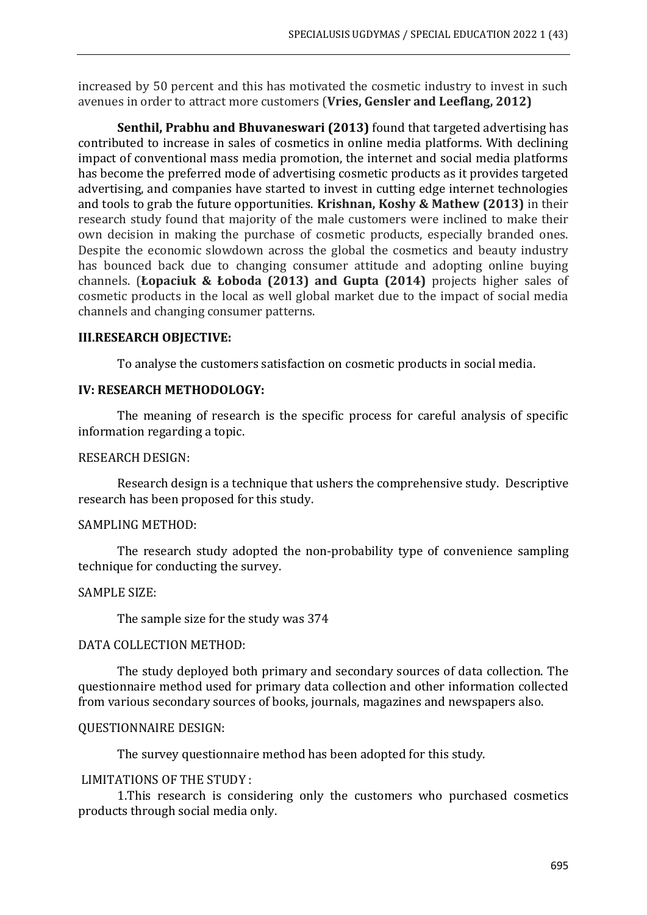increased by 50 percent and this has motivated the cosmetic industry to invest in such avenues in order to attract more customers (**Vries, Gensler and Leeflang, 2012)**

**Senthil, Prabhu and Bhuvaneswari (2013)** found that targeted advertising has contributed to increase in sales of cosmetics in online media platforms. With declining impact of conventional mass media promotion, the internet and social media platforms has become the preferred mode of advertising cosmetic products as it provides targeted advertising, and companies have started to invest in cutting edge internet technologies and tools to grab the future opportunities. **Krishnan, Koshy & Mathew (2013)** in their research study found that majority of the male customers were inclined to make their own decision in making the purchase of cosmetic products, especially branded ones. Despite the economic slowdown across the global the cosmetics and beauty industry has bounced back due to changing consumer attitude and adopting online buying channels. (**Łopaciuk & Łoboda (2013) and Gupta (2014)** projects higher sales of cosmetic products in the local as well global market due to the impact of social media channels and changing consumer patterns.

## **III.RESEARCH OBJECTIVE:**

To analyse the customers satisfaction on cosmetic products in social media.

## **IV: RESEARCH METHODOLOGY:**

The meaning of research is the specific process for careful analysis of specific information regarding a topic.

## RESEARCH DESIGN:

Research design is a technique that ushers the comprehensive study. Descriptive research has been proposed for this study.

#### SAMPLING METHOD:

The research study adopted the non-probability type of convenience sampling technique for conducting the survey.

#### SAMPLE SIZE:

The sample size for the study was 374

#### DATA COLLECTION METHOD:

The study deployed both primary and secondary sources of data collection. The questionnaire method used for primary data collection and other information collected from various secondary sources of books, journals, magazines and newspapers also.

#### QUESTIONNAIRE DESIGN:

The survey questionnaire method has been adopted for this study.

## LIMITATIONS OF THE STUDY :

1.This research is considering only the customers who purchased cosmetics products through social media only.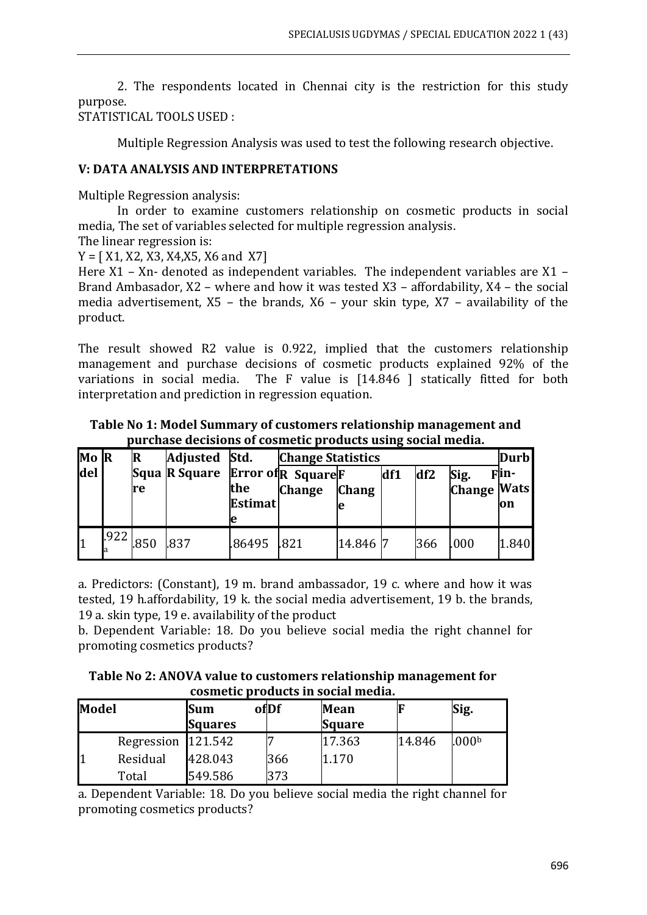2. The respondents located in Chennai city is the restriction for this study purpose.

STATISTICAL TOOLS USED :

Multiple Regression Analysis was used to test the following research objective.

# **V: DATA ANALYSIS AND INTERPRETATIONS**

Multiple Regression analysis:

In order to examine customers relationship on cosmetic products in social media, The set of variables selected for multiple regression analysis.

The linear regression is:

 $Y = [ X1, X2, X3, X4, X5, X6, X6]$ 

Here X1 – Xn- denoted as independent variables. The independent variables are X1 – Brand Ambasador, X2 – where and how it was tested X3 – affordability, X4 – the social media advertisement, X5 – the brands, X6 – your skin type, X7 – availability of the product.

The result showed R2 value is 0.922, implied that the customers relationship management and purchase decisions of cosmetic products explained 92% of the variations in social media. The F value is [14.846 ] statically fitted for both interpretation and prediction in regression equation.

**Table No 1: Model Summary of customers relationship management and purchase decisions of cosmetic products using social media.**

| Mo R             |      |      | Adjusted Std.                                                   |                            | <b>Durb</b><br><b>Change Statistics</b> |              |     |     |                            |              |
|------------------|------|------|-----------------------------------------------------------------|----------------------------|-----------------------------------------|--------------|-----|-----|----------------------------|--------------|
| del <sup>'</sup> |      | re   | Squa $\mathbb R$ Square Error of $\mathbb R$ Square $\mathbb F$ | the<br><b>Estimat</b><br>e | <b>Change</b>                           | <b>Chang</b> | df1 | df2 | Sig.<br><b>Change Wats</b> | Flin-<br>lon |
|                  | .922 | .850 | .837                                                            | .86495 .821                |                                         | 14.846 7     |     | 366 | .000                       | 1.840        |

a. Predictors: (Constant), 19 m. brand ambassador, 19 c. where and how it was tested, 19 h.affordability, 19 k. the social media advertisement, 19 b. the brands, 19 a. skin type, 19 e. availability of the product

b. Dependent Variable: 18. Do you believe social media the right channel for promoting cosmetics products?

**Table No 2: ANOVA value to customers relationship management for cosmetic products in social media.**

| Model |                    | Sum<br><b>Squares</b> | ofDf | <b>Mean</b><br><b>Square</b> |        | Sig.              |
|-------|--------------------|-----------------------|------|------------------------------|--------|-------------------|
|       | Regression 121.542 |                       |      | 17.363                       | 14.846 | .000 <sub>b</sub> |
|       | Residual           | 428.043               | 366  | 1.170                        |        |                   |
|       | Total              | 549.586               | 373  |                              |        |                   |

a. Dependent Variable: 18. Do you believe social media the right channel for promoting cosmetics products?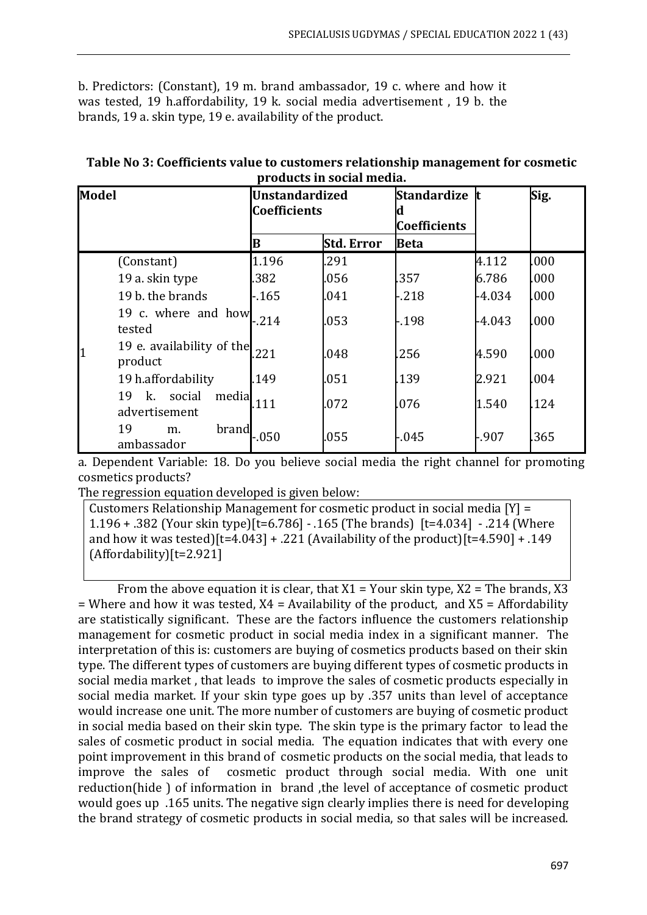b. Predictors: (Constant), 19 m. brand ambassador, 19 c. where and how it was tested, 19 h.affordability, 19 k. social media advertisement , 19 b. the brands, 19 a. skin type, 19 e. availability of the product.

| <b>Model</b>   |                                                | <b>Unstandardized</b><br><b>Coefficients</b> |                   | Standardize <i>t</i><br><b>Coefficients</b> |          | Sig. |
|----------------|------------------------------------------------|----------------------------------------------|-------------------|---------------------------------------------|----------|------|
|                |                                                | B                                            | <b>Std. Error</b> | <b>Beta</b>                                 |          |      |
|                | (Constant)                                     | 1.196                                        | .291              |                                             | 4.112    | .000 |
|                | 19 a. skin type                                | 382                                          | .056              | .357                                        | 6.786    | .000 |
|                | 19 b. the brands                               | -.165                                        | .041              | $-218$                                      | $-4.034$ | .000 |
| tested         | 19 c. where and how                            | .214                                         | .053              | -.198                                       | -4.043   | .000 |
| $\overline{1}$ | 19 e. availability of the $_{.221}$<br>product |                                              | .048              | .256                                        | 4.590    | .000 |
|                | 19 h.affordability                             | 149                                          | .051              | .139                                        | 2.921    | .004 |
| 19             | social<br>media<br>k.<br>advertisement         | 111                                          | .072              | .076                                        | 1.540    | .124 |
| 19             | brand<br>m.<br>ambassador                      | $-050$                                       | .055              | -.045                                       | -.907    | .365 |

| Table No 3: Coefficients value to customers relationship management for cosmetic |
|----------------------------------------------------------------------------------|
| products in social media.                                                        |

a. Dependent Variable: 18. Do you believe social media the right channel for promoting cosmetics products?

The regression equation developed is given below:

Customers Relationship Management for cosmetic product in social media [Y] = 1.196 + .382 (Your skin type)[t=6.786] - .165 (The brands) [t=4.034] - .214 (Where and how it was tested)[t=4.043] + .221 (Availability of the product)[t=4.590] + .149 (Affordability)[t=2.921]

From the above equation it is clear, that  $X1 = Y$ our skin type,  $X2 =$ The brands, X3  $=$  Where and how it was tested,  $X4 =$  Availability of the product, and  $X5 =$  Affordability are statistically significant. These are the factors influence the customers relationship management for cosmetic product in social media index in a significant manner. The interpretation of this is: customers are buying of cosmetics products based on their skin type. The different types of customers are buying different types of cosmetic products in social media market , that leads to improve the sales of cosmetic products especially in social media market. If your skin type goes up by .357 units than level of acceptance would increase one unit. The more number of customers are buying of cosmetic product in social media based on their skin type. The skin type is the primary factor to lead the sales of cosmetic product in social media. The equation indicates that with every one point improvement in this brand of cosmetic products on the social media, that leads to improve the sales of cosmetic product through social media. With one unit reduction(hide ) of information in brand ,the level of acceptance of cosmetic product would goes up .165 units. The negative sign clearly implies there is need for developing the brand strategy of cosmetic products in social media, so that sales will be increased.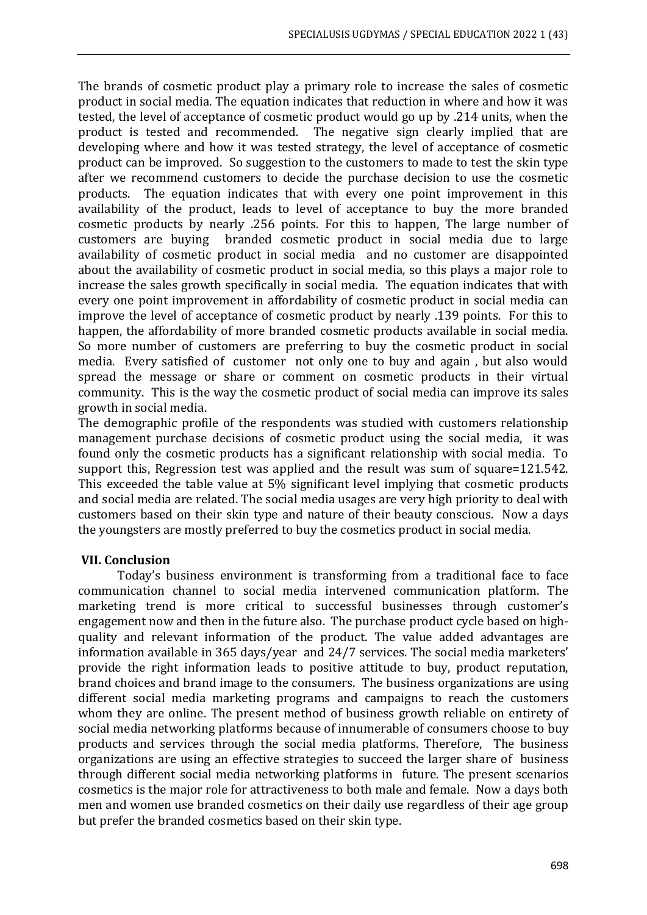The brands of cosmetic product play a primary role to increase the sales of cosmetic product in social media. The equation indicates that reduction in where and how it was tested, the level of acceptance of cosmetic product would go up by .214 units, when the product is tested and recommended. The negative sign clearly implied that are developing where and how it was tested strategy, the level of acceptance of cosmetic product can be improved. So suggestion to the customers to made to test the skin type after we recommend customers to decide the purchase decision to use the cosmetic products. The equation indicates that with every one point improvement in this availability of the product, leads to level of acceptance to buy the more branded cosmetic products by nearly .256 points. For this to happen, The large number of customers are buying branded cosmetic product in social media due to large availability of cosmetic product in social media and no customer are disappointed about the availability of cosmetic product in social media, so this plays a major role to increase the sales growth specifically in social media. The equation indicates that with every one point improvement in affordability of cosmetic product in social media can improve the level of acceptance of cosmetic product by nearly .139 points. For this to happen, the affordability of more branded cosmetic products available in social media. So more number of customers are preferring to buy the cosmetic product in social media. Every satisfied of customer not only one to buy and again , but also would spread the message or share or comment on cosmetic products in their virtual community. This is the way the cosmetic product of social media can improve its sales growth in social media.

The demographic profile of the respondents was studied with customers relationship management purchase decisions of cosmetic product using the social media, it was found only the cosmetic products has a significant relationship with social media. To support this, Regression test was applied and the result was sum of square=121.542. This exceeded the table value at 5% significant level implying that cosmetic products and social media are related. The social media usages are very high priority to deal with customers based on their skin type and nature of their beauty conscious. Now a days the youngsters are mostly preferred to buy the cosmetics product in social media.

#### **VII. Conclusion**

Today's business environment is transforming from a traditional face to face communication channel to social media intervened communication platform. The marketing trend is more critical to successful businesses through customer's engagement now and then in the future also. The purchase product cycle based on highquality and relevant information of the product. The value added advantages are information available in 365 days/year and 24/7 services. The social media marketers' provide the right information leads to positive attitude to buy, product reputation, brand choices and brand image to the consumers. The business organizations are using different social media marketing programs and campaigns to reach the customers whom they are online. The present method of business growth reliable on entirety of social media networking platforms because of innumerable of consumers choose to buy products and services through the social media platforms. Therefore, The business organizations are using an effective strategies to succeed the larger share of business through different social media networking platforms in future. The present scenarios cosmetics is the major role for attractiveness to both male and female. Now a days both men and women use branded cosmetics on their daily use regardless of their age group but prefer the branded cosmetics based on their skin type.